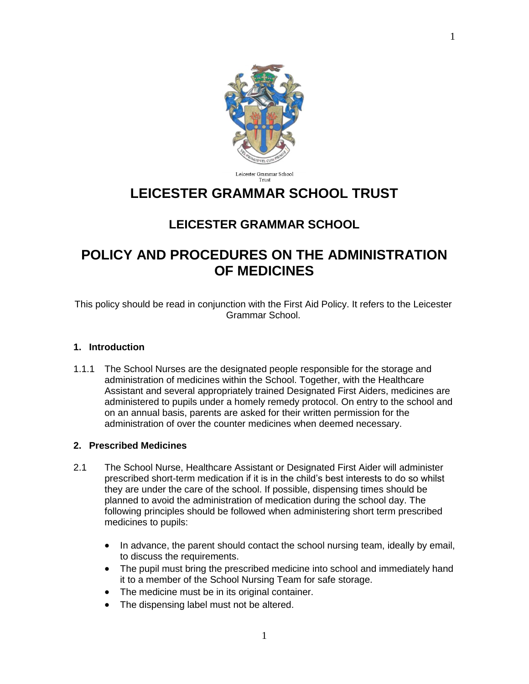

#### Leicester Grammar School Trust

# **LEICESTER GRAMMAR SCHOOL TRUST**

# **LEICESTER GRAMMAR SCHOOL**

# **POLICY AND PROCEDURES ON THE ADMINISTRATION OF MEDICINES**

This policy should be read in conjunction with the First Aid Policy. It refers to the Leicester Grammar School.

#### **1. Introduction**

1.1.1 The School Nurses are the designated people responsible for the storage and administration of medicines within the School. Together, with the Healthcare Assistant and several appropriately trained Designated First Aiders, medicines are administered to pupils under a homely remedy protocol. On entry to the school and on an annual basis, parents are asked for their written permission for the administration of over the counter medicines when deemed necessary.

#### **2. Prescribed Medicines**

- 2.1 The School Nurse, Healthcare Assistant or Designated First Aider will administer prescribed short-term medication if it is in the child's best interests to do so whilst they are under the care of the school. If possible, dispensing times should be planned to avoid the administration of medication during the school day. The following principles should be followed when administering short term prescribed medicines to pupils:
	- In advance, the parent should contact the school nursing team, ideally by email, to discuss the requirements.
	- The pupil must bring the prescribed medicine into school and immediately hand it to a member of the School Nursing Team for safe storage.
	- The medicine must be in its original container.
	- The dispensing label must not be altered.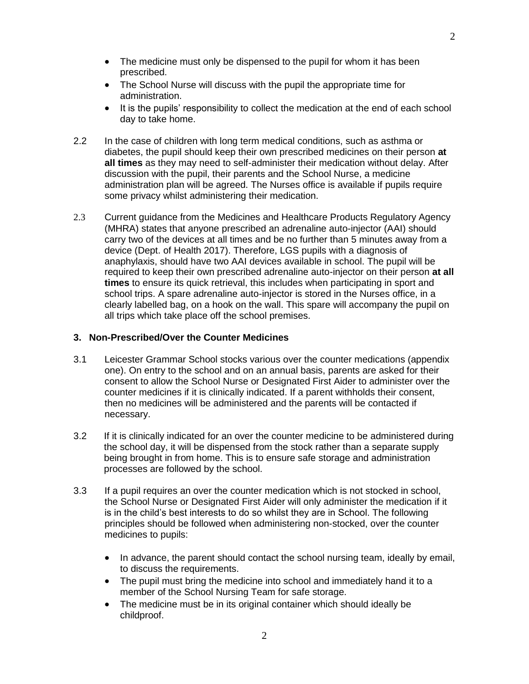- The medicine must only be dispensed to the pupil for whom it has been prescribed.
- The School Nurse will discuss with the pupil the appropriate time for administration.
- It is the pupils' responsibility to collect the medication at the end of each school day to take home.
- 2.2 In the case of children with long term medical conditions, such as asthma or diabetes, the pupil should keep their own prescribed medicines on their person **at all times** as they may need to self-administer their medication without delay. After discussion with the pupil, their parents and the School Nurse, a medicine administration plan will be agreed. The Nurses office is available if pupils require some privacy whilst administering their medication.
- 2.3 Current guidance from the Medicines and Healthcare Products Regulatory Agency (MHRA) states that anyone prescribed an adrenaline auto-injector (AAI) should carry two of the devices at all times and be no further than 5 minutes away from a device (Dept. of Health 2017). Therefore, LGS pupils with a diagnosis of anaphylaxis, should have two AAI devices available in school. The pupil will be required to keep their own prescribed adrenaline auto-injector on their person **at all times** to ensure its quick retrieval, this includes when participating in sport and school trips. A spare adrenaline auto-injector is stored in the Nurses office, in a clearly labelled bag, on a hook on the wall. This spare will accompany the pupil on all trips which take place off the school premises.

#### **3. Non-Prescribed/Over the Counter Medicines**

- 3.1 Leicester Grammar School stocks various over the counter medications (appendix one). On entry to the school and on an annual basis, parents are asked for their consent to allow the School Nurse or Designated First Aider to administer over the counter medicines if it is clinically indicated. If a parent withholds their consent, then no medicines will be administered and the parents will be contacted if necessary.
- 3.2 If it is clinically indicated for an over the counter medicine to be administered during the school day, it will be dispensed from the stock rather than a separate supply being brought in from home. This is to ensure safe storage and administration processes are followed by the school.
- 3.3 If a pupil requires an over the counter medication which is not stocked in school, the School Nurse or Designated First Aider will only administer the medication if it is in the child's best interests to do so whilst they are in School. The following principles should be followed when administering non-stocked, over the counter medicines to pupils:
	- In advance, the parent should contact the school nursing team, ideally by email, to discuss the requirements.
	- The pupil must bring the medicine into school and immediately hand it to a member of the School Nursing Team for safe storage.
	- The medicine must be in its original container which should ideally be childproof.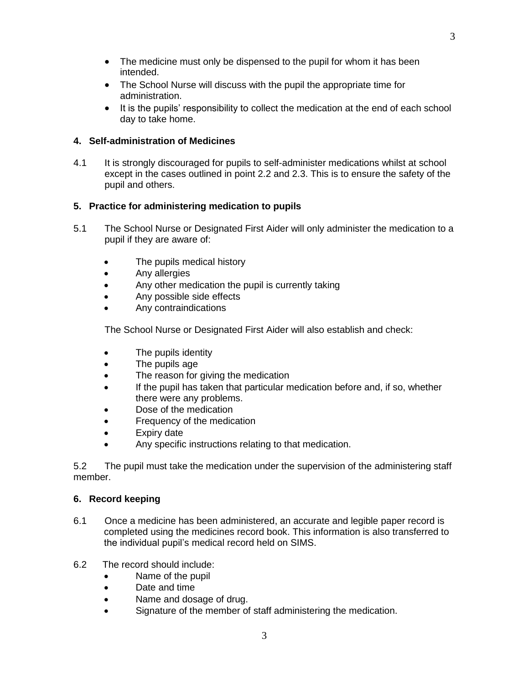- The medicine must only be dispensed to the pupil for whom it has been intended.
- The School Nurse will discuss with the pupil the appropriate time for administration.
- It is the pupils' responsibility to collect the medication at the end of each school day to take home.

### **4. Self-administration of Medicines**

4.1 It is strongly discouraged for pupils to self-administer medications whilst at school except in the cases outlined in point 2.2 and 2.3. This is to ensure the safety of the pupil and others.

## **5. Practice for administering medication to pupils**

- 5.1 The School Nurse or Designated First Aider will only administer the medication to a pupil if they are aware of:
	- The pupils medical history
	- **Any allergies**
	- Any other medication the pupil is currently taking
	- Any possible side effects
	- Any contraindications

The School Nurse or Designated First Aider will also establish and check:

- The pupils identity
- The pupils age
- The reason for giving the medication
- If the pupil has taken that particular medication before and, if so, whether there were any problems.
- Dose of the medication
- Frequency of the medication
- Expiry date
- Any specific instructions relating to that medication.

5.2 The pupil must take the medication under the supervision of the administering staff member.

### **6. Record keeping**

- 6.1 Once a medicine has been administered, an accurate and legible paper record is completed using the medicines record book. This information is also transferred to the individual pupil's medical record held on SIMS.
- 6.2 The record should include:
	- Name of the pupil
	- Date and time
	- Name and dosage of drug.
	- Signature of the member of staff administering the medication.

3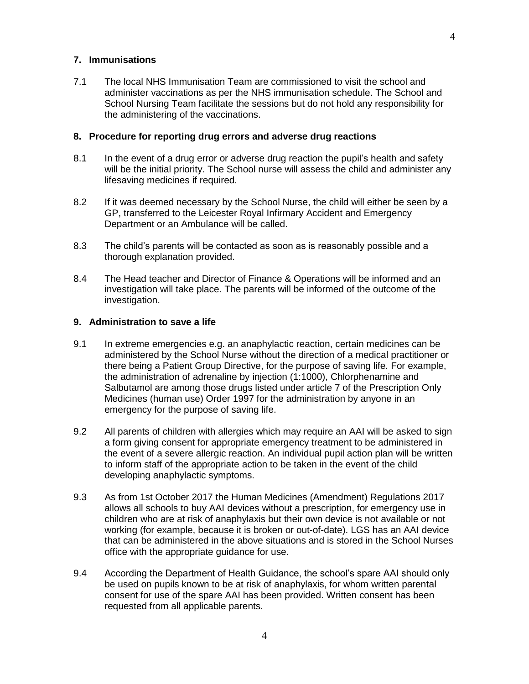7.1 The local NHS Immunisation Team are commissioned to visit the school and administer vaccinations as per the NHS immunisation schedule. The School and School Nursing Team facilitate the sessions but do not hold any responsibility for the administering of the vaccinations.

#### **8. Procedure for reporting drug errors and adverse drug reactions**

- 8.1 In the event of a drug error or adverse drug reaction the pupil's health and safety will be the initial priority. The School nurse will assess the child and administer any lifesaving medicines if required.
- 8.2 If it was deemed necessary by the School Nurse, the child will either be seen by a GP, transferred to the Leicester Royal Infirmary Accident and Emergency Department or an Ambulance will be called.
- 8.3 The child's parents will be contacted as soon as is reasonably possible and a thorough explanation provided.
- 8.4 The Head teacher and Director of Finance & Operations will be informed and an investigation will take place. The parents will be informed of the outcome of the investigation.

#### **9. Administration to save a life**

- 9.1 In extreme emergencies e.g. an anaphylactic reaction, certain medicines can be administered by the School Nurse without the direction of a medical practitioner or there being a Patient Group Directive, for the purpose of saving life. For example, the administration of adrenaline by injection (1:1000), Chlorphenamine and Salbutamol are among those drugs listed under article 7 of the Prescription Only Medicines (human use) Order 1997 for the administration by anyone in an emergency for the purpose of saving life.
- 9.2 All parents of children with allergies which may require an AAI will be asked to sign a form giving consent for appropriate emergency treatment to be administered in the event of a severe allergic reaction. An individual pupil action plan will be written to inform staff of the appropriate action to be taken in the event of the child developing anaphylactic symptoms.
- 9.3 As from 1st October 2017 the Human Medicines (Amendment) Regulations 2017 allows all schools to buy AAI devices without a prescription, for emergency use in children who are at risk of anaphylaxis but their own device is not available or not working (for example, because it is broken or out-of-date). LGS has an AAI device that can be administered in the above situations and is stored in the School Nurses office with the appropriate guidance for use.
- 9.4 According the Department of Health Guidance, the school's spare AAI should only be used on pupils known to be at risk of anaphylaxis, for whom written parental consent for use of the spare AAI has been provided. Written consent has been requested from all applicable parents.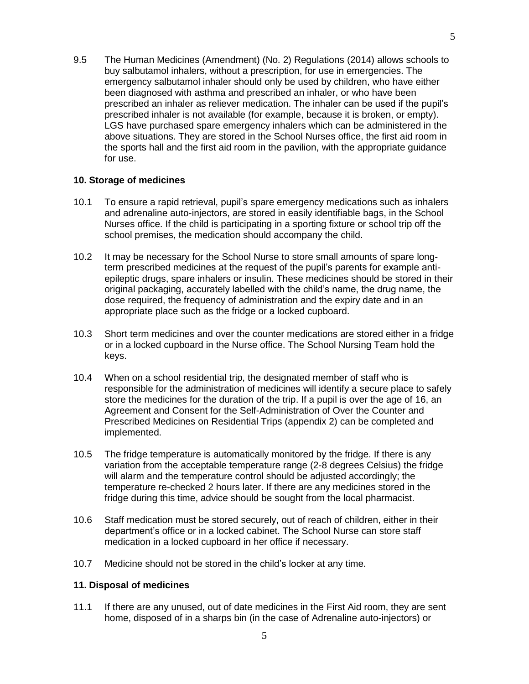9.5 The Human Medicines (Amendment) (No. 2) Regulations (2014) allows schools to buy salbutamol inhalers, without a prescription, for use in emergencies. The emergency salbutamol inhaler should only be used by children, who have either been diagnosed with asthma and prescribed an inhaler, or who have been prescribed an inhaler as reliever medication. The inhaler can be used if the pupil's prescribed inhaler is not available (for example, because it is broken, or empty). LGS have purchased spare emergency inhalers which can be administered in the above situations. They are stored in the School Nurses office, the first aid room in the sports hall and the first aid room in the pavilion, with the appropriate guidance for use.

### **10. Storage of medicines**

- 10.1 To ensure a rapid retrieval, pupil's spare emergency medications such as inhalers and adrenaline auto-injectors, are stored in easily identifiable bags, in the School Nurses office. If the child is participating in a sporting fixture or school trip off the school premises, the medication should accompany the child.
- 10.2 It may be necessary for the School Nurse to store small amounts of spare longterm prescribed medicines at the request of the pupil's parents for example antiepileptic drugs, spare inhalers or insulin. These medicines should be stored in their original packaging, accurately labelled with the child's name, the drug name, the dose required, the frequency of administration and the expiry date and in an appropriate place such as the fridge or a locked cupboard.
- 10.3 Short term medicines and over the counter medications are stored either in a fridge or in a locked cupboard in the Nurse office. The School Nursing Team hold the keys.
- 10.4 When on a school residential trip, the designated member of staff who is responsible for the administration of medicines will identify a secure place to safely store the medicines for the duration of the trip. If a pupil is over the age of 16, an Agreement and Consent for the Self-Administration of Over the Counter and Prescribed Medicines on Residential Trips (appendix 2) can be completed and implemented.
- 10.5 The fridge temperature is automatically monitored by the fridge. If there is any variation from the acceptable temperature range (2-8 degrees Celsius) the fridge will alarm and the temperature control should be adjusted accordingly; the temperature re-checked 2 hours later. If there are any medicines stored in the fridge during this time, advice should be sought from the local pharmacist.
- 10.6 Staff medication must be stored securely, out of reach of children, either in their department's office or in a locked cabinet. The School Nurse can store staff medication in a locked cupboard in her office if necessary.
- 10.7 Medicine should not be stored in the child's locker at any time.

### **11. Disposal of medicines**

11.1 If there are any unused, out of date medicines in the First Aid room, they are sent home, disposed of in a sharps bin (in the case of Adrenaline auto-injectors) or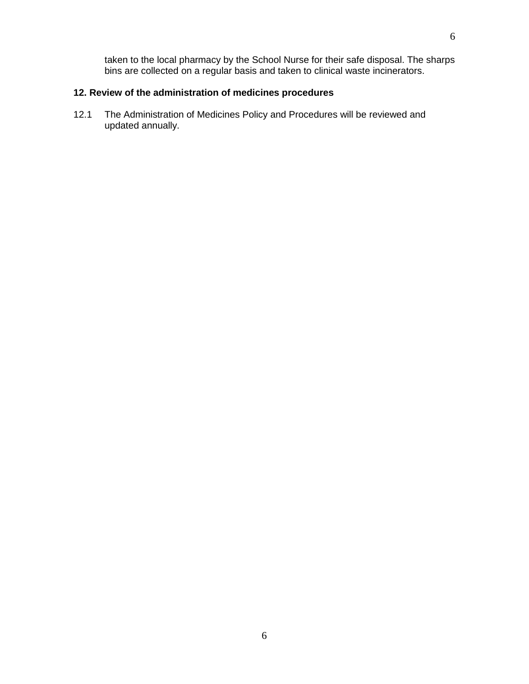taken to the local pharmacy by the School Nurse for their safe disposal. The sharps bins are collected on a regular basis and taken to clinical waste incinerators.

# **12. Review of the administration of medicines procedures**

12.1 The Administration of Medicines Policy and Procedures will be reviewed and updated annually.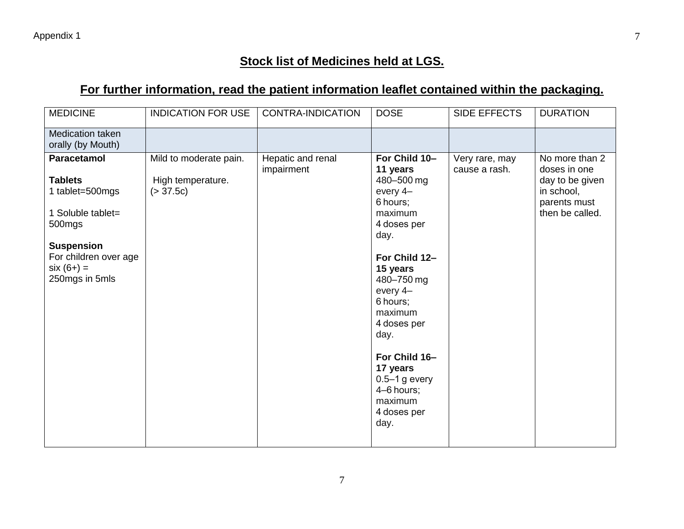# **Stock list of Medicines held at LGS.**

# **For further information, read the patient information leaflet contained within the packaging.**

| <b>MEDICINE</b>                                                                                                                                                        | <b>INDICATION FOR USE</b>                                | <b>CONTRA-INDICATION</b>        | <b>DOSE</b>                                                                                                                                                                                                                                                                                              | SIDE EFFECTS                    | <b>DURATION</b>                                                                                    |
|------------------------------------------------------------------------------------------------------------------------------------------------------------------------|----------------------------------------------------------|---------------------------------|----------------------------------------------------------------------------------------------------------------------------------------------------------------------------------------------------------------------------------------------------------------------------------------------------------|---------------------------------|----------------------------------------------------------------------------------------------------|
| Medication taken<br>orally (by Mouth)                                                                                                                                  |                                                          |                                 |                                                                                                                                                                                                                                                                                                          |                                 |                                                                                                    |
| <b>Paracetamol</b><br><b>Tablets</b><br>1 tablet=500mgs<br>1 Soluble tablet=<br>500mgs<br><b>Suspension</b><br>For children over age<br>$six (6+) =$<br>250mgs in 5mls | Mild to moderate pain.<br>High temperature.<br>(> 37.5c) | Hepatic and renal<br>impairment | For Child 10-<br>11 years<br>480-500 mg<br>every 4-<br>6 hours;<br>maximum<br>4 doses per<br>day.<br>For Child 12-<br>15 years<br>480-750 mg<br>every 4-<br>6 hours;<br>maximum<br>4 doses per<br>day.<br>For Child 16-<br>17 years<br>$0.5 - 1$ g every<br>4-6 hours;<br>maximum<br>4 doses per<br>day. | Very rare, may<br>cause a rash. | No more than 2<br>doses in one<br>day to be given<br>in school,<br>parents must<br>then be called. |
|                                                                                                                                                                        |                                                          |                                 |                                                                                                                                                                                                                                                                                                          |                                 |                                                                                                    |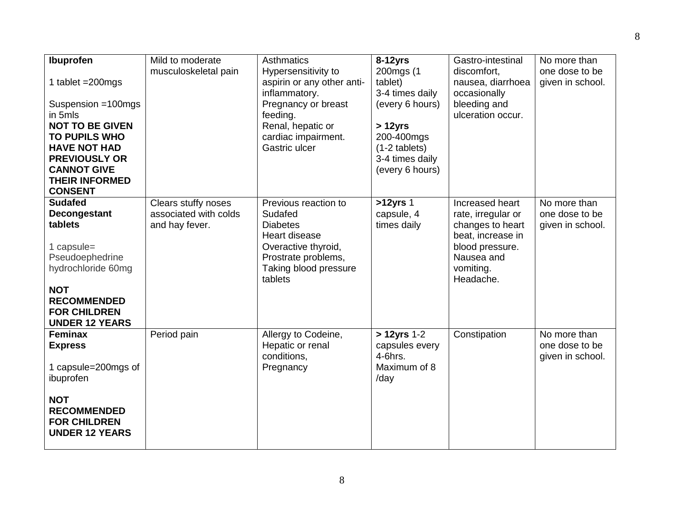| Ibuprofen<br>1 tablet $=200$ mgs<br>Suspension =100mgs<br>in 5mls<br><b>NOT TO BE GIVEN</b><br><b>TO PUPILS WHO</b><br><b>HAVE NOT HAD</b><br><b>PREVIOUSLY OR</b><br><b>CANNOT GIVE</b><br><b>THEIR INFORMED</b><br><b>CONSENT</b> | Mild to moderate<br>musculoskeletal pain                       | Asthmatics<br>Hypersensitivity to<br>aspirin or any other anti-<br>inflammatory.<br>Pregnancy or breast<br>feeding.<br>Renal, hepatic or<br>cardiac impairment.<br>Gastric ulcer | $8-12$ yrs<br>200mgs (1<br>tablet)<br>3-4 times daily<br>(every 6 hours)<br>$>12$ yrs<br>200-400mgs<br>$(1-2$ tablets)<br>3-4 times daily<br>(every 6 hours) | Gastro-intestinal<br>discomfort,<br>nausea, diarrhoea<br>occasionally<br>bleeding and<br>ulceration occur.                                | No more than<br>one dose to be<br>given in school. |
|-------------------------------------------------------------------------------------------------------------------------------------------------------------------------------------------------------------------------------------|----------------------------------------------------------------|----------------------------------------------------------------------------------------------------------------------------------------------------------------------------------|--------------------------------------------------------------------------------------------------------------------------------------------------------------|-------------------------------------------------------------------------------------------------------------------------------------------|----------------------------------------------------|
| <b>Sudafed</b><br>Decongestant<br>tablets<br>1 capsule=<br>Pseudoephedrine<br>hydrochloride 60mg<br><b>NOT</b><br><b>RECOMMENDED</b><br><b>FOR CHILDREN</b><br><b>UNDER 12 YEARS</b>                                                | Clears stuffy noses<br>associated with colds<br>and hay fever. | Previous reaction to<br>Sudafed<br><b>Diabetes</b><br>Heart disease<br>Overactive thyroid,<br>Prostrate problems,<br>Taking blood pressure<br>tablets                            | >12yrs 1<br>capsule, 4<br>times daily                                                                                                                        | Increased heart<br>rate, irregular or<br>changes to heart<br>beat, increase in<br>blood pressure.<br>Nausea and<br>vomiting.<br>Headache. | No more than<br>one dose to be<br>given in school. |
| Feminax<br><b>Express</b><br>1 capsule=200mgs of<br>ibuprofen<br><b>NOT</b><br><b>RECOMMENDED</b><br><b>FOR CHILDREN</b><br><b>UNDER 12 YEARS</b>                                                                                   | Period pain                                                    | Allergy to Codeine,<br>Hepatic or renal<br>conditions,<br>Pregnancy                                                                                                              | > 12yrs 1-2<br>capsules every<br>$4-6$ hrs.<br>Maximum of 8<br>/day                                                                                          | Constipation                                                                                                                              | No more than<br>one dose to be<br>given in school. |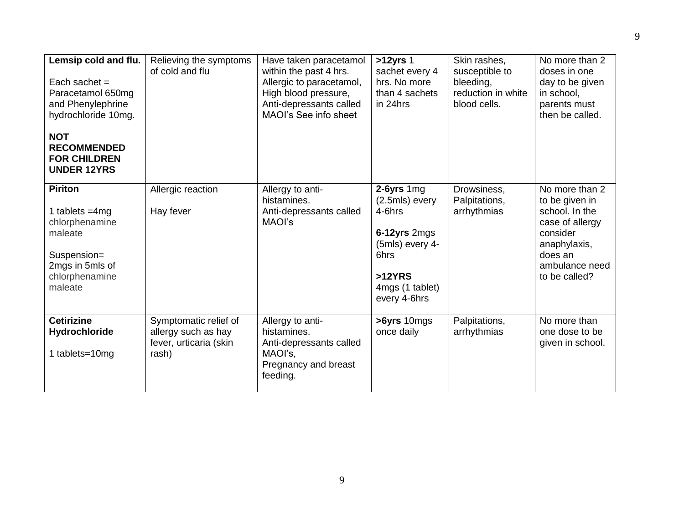| Lemsip cold and flu.<br>Each sachet $=$<br>Paracetamol 650mg<br>and Phenylephrine<br>hydrochloride 10mg.<br><b>NOT</b><br><b>RECOMMENDED</b><br><b>FOR CHILDREN</b><br><b>UNDER 12YRS</b> | Relieving the symptoms<br>of cold and flu                                       | Have taken paracetamol<br>within the past 4 hrs.<br>Allergic to paracetamol,<br>High blood pressure,<br>Anti-depressants called<br>MAOI's See info sheet | $>12$ yrs 1<br>sachet every 4<br>hrs. No more<br>than 4 sachets<br>in 24hrs                                                      | Skin rashes,<br>susceptible to<br>bleeding,<br>reduction in white<br>blood cells. | No more than 2<br>doses in one<br>day to be given<br>in school,<br>parents must<br>then be called.                                              |
|-------------------------------------------------------------------------------------------------------------------------------------------------------------------------------------------|---------------------------------------------------------------------------------|----------------------------------------------------------------------------------------------------------------------------------------------------------|----------------------------------------------------------------------------------------------------------------------------------|-----------------------------------------------------------------------------------|-------------------------------------------------------------------------------------------------------------------------------------------------|
| <b>Piriton</b><br>1 tablets $=4mg$<br>chlorphenamine<br>maleate<br>Suspension=<br>2mgs in 5mls of<br>chlorphenamine<br>maleate                                                            | Allergic reaction<br>Hay fever                                                  | Allergy to anti-<br>histamines.<br>Anti-depressants called<br>MAOI's                                                                                     | $2-6yrs$ 1mg<br>(2.5mls) every<br>4-6hrs<br>6-12yrs 2mgs<br>(5mls) every 4-<br>6hrs<br>>12YRS<br>4mgs (1 tablet)<br>every 4-6hrs | Drowsiness,<br>Palpitations,<br>arrhythmias                                       | No more than 2<br>to be given in<br>school. In the<br>case of allergy<br>consider<br>anaphylaxis,<br>does an<br>ambulance need<br>to be called? |
| <b>Cetirizine</b><br>Hydrochloride<br>1 tablets=10mg                                                                                                                                      | Symptomatic relief of<br>allergy such as hay<br>fever, urticaria (skin<br>rash) | Allergy to anti-<br>histamines.<br>Anti-depressants called<br>MAOI's,<br>Pregnancy and breast<br>feeding.                                                | >6yrs 10mgs<br>once daily                                                                                                        | Palpitations,<br>arrhythmias                                                      | No more than<br>one dose to be<br>given in school.                                                                                              |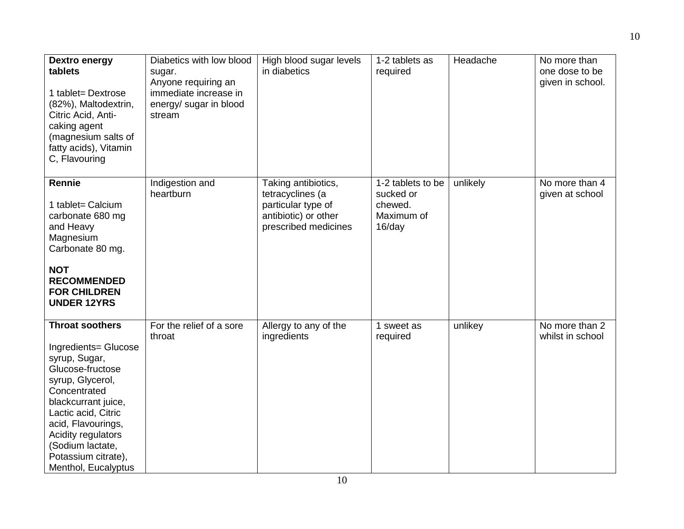| Dextro energy<br>tablets<br>1 tablet= Dextrose<br>(82%), Maltodextrin,<br>Citric Acid, Anti-<br>caking agent<br>(magnesium salts of<br>fatty acids), Vitamin<br>C, Flavouring                                                                                                       | Diabetics with low blood<br>sugar.<br>Anyone requiring an<br>immediate increase in<br>energy/ sugar in blood<br>stream | High blood sugar levels<br>in diabetics                                                                       | 1-2 tablets as<br>required                                        | Headache | No more than<br>one dose to be<br>given in school. |
|-------------------------------------------------------------------------------------------------------------------------------------------------------------------------------------------------------------------------------------------------------------------------------------|------------------------------------------------------------------------------------------------------------------------|---------------------------------------------------------------------------------------------------------------|-------------------------------------------------------------------|----------|----------------------------------------------------|
| <b>Rennie</b><br>1 tablet= Calcium<br>carbonate 680 mg<br>and Heavy<br>Magnesium<br>Carbonate 80 mg.<br><b>NOT</b><br><b>RECOMMENDED</b><br><b>FOR CHILDREN</b><br><b>UNDER 12YRS</b>                                                                                               | Indigestion and<br>heartburn                                                                                           | Taking antibiotics,<br>tetracyclines (a<br>particular type of<br>antibiotic) or other<br>prescribed medicines | 1-2 tablets to be<br>sucked or<br>chewed.<br>Maximum of<br>16/day | unlikely | No more than 4<br>given at school                  |
| <b>Throat soothers</b><br>Ingredients= Glucose<br>syrup, Sugar,<br>Glucose-fructose<br>syrup, Glycerol,<br>Concentrated<br>blackcurrant juice,<br>Lactic acid, Citric<br>acid, Flavourings,<br>Acidity regulators<br>(Sodium lactate,<br>Potassium citrate),<br>Menthol, Eucalyptus | For the relief of a sore<br>throat                                                                                     | Allergy to any of the<br>ingredients                                                                          | 1 sweet as<br>required                                            | unlikey  | No more than 2<br>whilst in school                 |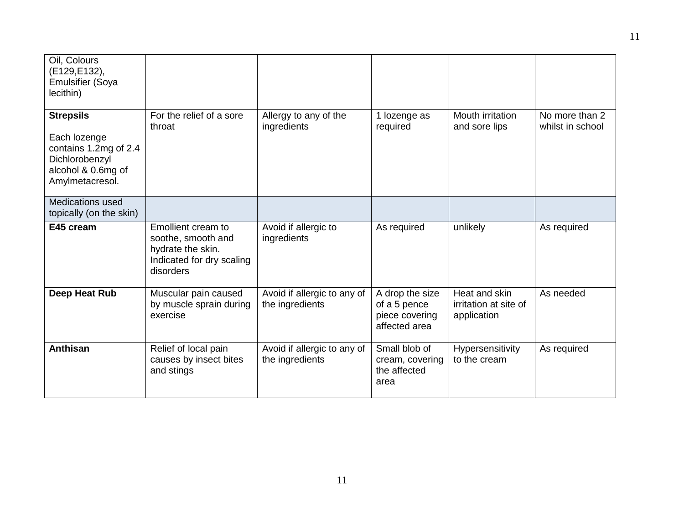| Oil, Colours<br>(E129, E132),<br><b>Emulsifier (Soya</b><br>lecithin)                                                |                                                                                                         |                                                |                                                                    |                                                       |                                    |
|----------------------------------------------------------------------------------------------------------------------|---------------------------------------------------------------------------------------------------------|------------------------------------------------|--------------------------------------------------------------------|-------------------------------------------------------|------------------------------------|
| <b>Strepsils</b><br>Each lozenge<br>contains 1.2mg of 2.4<br>Dichlorobenzyl<br>alcohol & 0.6mg of<br>Amylmetacresol. | For the relief of a sore<br>throat                                                                      | Allergy to any of the<br>ingredients           | 1 lozenge as<br>required                                           | Mouth irritation<br>and sore lips                     | No more than 2<br>whilst in school |
| <b>Medications used</b><br>topically (on the skin)                                                                   |                                                                                                         |                                                |                                                                    |                                                       |                                    |
| E45 cream                                                                                                            | Emollient cream to<br>soothe, smooth and<br>hydrate the skin.<br>Indicated for dry scaling<br>disorders | Avoid if allergic to<br>ingredients            | As required                                                        | unlikely                                              | As required                        |
| Deep Heat Rub                                                                                                        | Muscular pain caused<br>by muscle sprain during<br>exercise                                             | Avoid if allergic to any of<br>the ingredients | A drop the size<br>of a 5 pence<br>piece covering<br>affected area | Heat and skin<br>irritation at site of<br>application | As needed                          |
| Anthisan                                                                                                             | Relief of local pain<br>causes by insect bites<br>and stings                                            | Avoid if allergic to any of<br>the ingredients | Small blob of<br>cream, covering<br>the affected<br>area           | Hypersensitivity<br>to the cream                      | As required                        |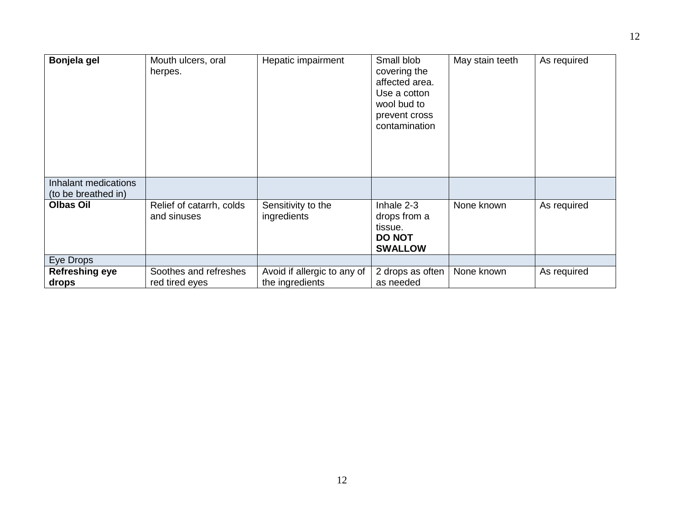| Bonjela gel                                 | Mouth ulcers, oral<br>herpes.           | Hepatic impairment                             | Small blob<br>covering the<br>affected area.<br>Use a cotton<br>wool bud to<br>prevent cross<br>contamination | May stain teeth | As required |
|---------------------------------------------|-----------------------------------------|------------------------------------------------|---------------------------------------------------------------------------------------------------------------|-----------------|-------------|
| Inhalant medications<br>(to be breathed in) |                                         |                                                |                                                                                                               |                 |             |
| <b>Olbas Oil</b>                            | Relief of catarrh, colds<br>and sinuses | Sensitivity to the<br>ingredients              | Inhale 2-3<br>drops from a<br>tissue.<br><b>DO NOT</b><br><b>SWALLOW</b>                                      | None known      | As required |
| Eye Drops                                   |                                         |                                                |                                                                                                               |                 |             |
| <b>Refreshing eye</b><br>drops              | Soothes and refreshes<br>red tired eyes | Avoid if allergic to any of<br>the ingredients | 2 drops as often<br>as needed                                                                                 | None known      | As required |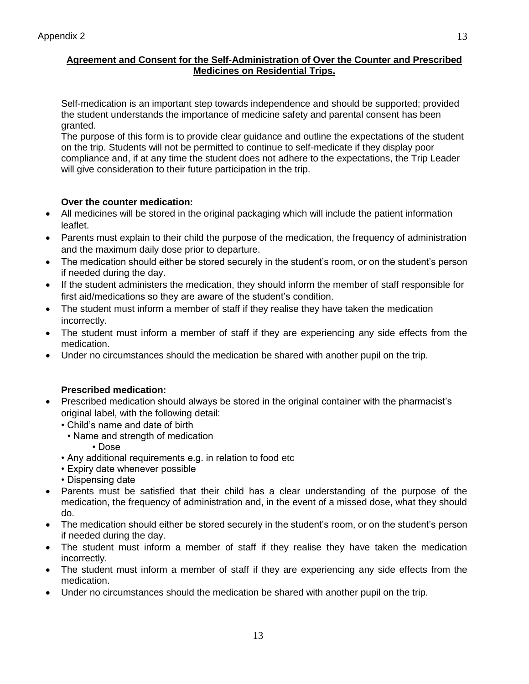### **Agreement and Consent for the Self-Administration of Over the Counter and Prescribed Medicines on Residential Trips.**

Self-medication is an important step towards independence and should be supported; provided the student understands the importance of medicine safety and parental consent has been granted.

The purpose of this form is to provide clear guidance and outline the expectations of the student on the trip. Students will not be permitted to continue to self-medicate if they display poor compliance and, if at any time the student does not adhere to the expectations, the Trip Leader will give consideration to their future participation in the trip.

## **Over the counter medication:**

- All medicines will be stored in the original packaging which will include the patient information leaflet.
- Parents must explain to their child the purpose of the medication, the frequency of administration and the maximum daily dose prior to departure.
- The medication should either be stored securely in the student's room, or on the student's person if needed during the day.
- If the student administers the medication, they should inform the member of staff responsible for first aid/medications so they are aware of the student's condition.
- The student must inform a member of staff if they realise they have taken the medication incorrectly.
- The student must inform a member of staff if they are experiencing any side effects from the medication.
- Under no circumstances should the medication be shared with another pupil on the trip.

# **Prescribed medication:**

- Prescribed medication should always be stored in the original container with the pharmacist's original label, with the following detail:
	- Child's name and date of birth
		- Name and strength of medication
			- Dose
	- Any additional requirements e.g. in relation to food etc
	- Expiry date whenever possible
	- Dispensing date
- Parents must be satisfied that their child has a clear understanding of the purpose of the medication, the frequency of administration and, in the event of a missed dose, what they should do.
- The medication should either be stored securely in the student's room, or on the student's person if needed during the day.
- The student must inform a member of staff if they realise they have taken the medication incorrectly.
- The student must inform a member of staff if they are experiencing any side effects from the medication.

13

Under no circumstances should the medication be shared with another pupil on the trip.